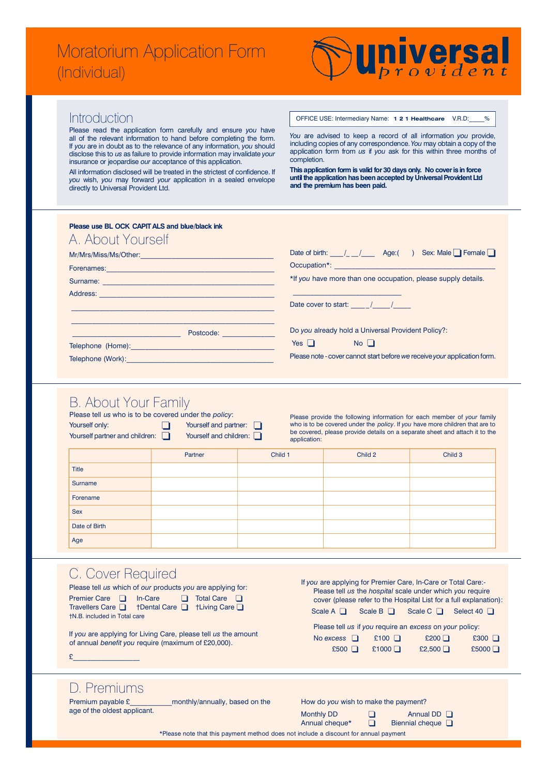# Moratorium Application Form (Individual)



#### Introduction

Please read the application form carefully and ensure you have all of the relevant information to hand before completing the form. If *you* are in doubt as to the relevance of any information, *you* should disclose this to us as failure to provide information may invalidate your insurance or jeopardise our acceptance of this application.

All information disclosed will be treated in the strictest of confidence. If *you* wish, *you* may forward *your* application in a sealed envelope directly to Universal Provident Ltd.

OFFICE USE: Intermediary Name: **1 2 1 Healthcare** V.R.D:

*You* are advised to keep a record of all information *you* provide, including copies of any correspondence. You may obtain a copy of the application form from *us* if you ask for this within three months of completion.

**This application form is valid for 30 days only. No cover is in force until the application has been accepted by Universal Provident Ltd and the premium has been paid.**

| Please use BL OCK CAPIT ALS and blue/black ink<br>A. About Yourself                                                                                                                                                                 |                                                                           |  |  |  |  |
|-------------------------------------------------------------------------------------------------------------------------------------------------------------------------------------------------------------------------------------|---------------------------------------------------------------------------|--|--|--|--|
| Mr/Mrs/Miss/Ms/Other:                                                                                                                                                                                                               | Date of birth: $/$ / Age: () Sex: Male $\Box$ Female $\Box$               |  |  |  |  |
| Forenames: 2008. Experience and the extra series and the extra series and the extra series and the extra series and the extra series are series and the extra series and the extra series and the extra series are series and       |                                                                           |  |  |  |  |
| Surname: and the contract of the contract of the contract of the contract of the contract of the contract of the contract of the contract of the contract of the contract of the contract of the contract of the contract of t      | *If you have more than one occupation, please supply details.             |  |  |  |  |
| Address: Address:                                                                                                                                                                                                                   |                                                                           |  |  |  |  |
|                                                                                                                                                                                                                                     | Date cover to start: / /                                                  |  |  |  |  |
| Postcode:                                                                                                                                                                                                                           | Do you already hold a Universal Provident Policy?:                        |  |  |  |  |
| <b>Telephone (Home):</b> Telephone and the state of the state of the state of the state of the state of the state of the state of the state of the state of the state of the state of the state of the state of the state of the st | $Yes \Box$ No $\Box$                                                      |  |  |  |  |
| Telephone (Work): Management Contains a substitution of the state of the state of the state of the state of the                                                                                                                     | Please note - cover cannot start before we receive your application form. |  |  |  |  |

## B. About Your Family

| Yourself only:<br>Yourself partner and children: | Please tell us who is to be covered under the policy:<br>Yourself and partner:<br>Yourself and children: |         | Please provide the following information for each member of your family<br>who is to be covered under the policy. If you have more children that are to<br>be covered, please provide details on a separate sheet and attach it to the<br>application: |         |  |  |
|--------------------------------------------------|----------------------------------------------------------------------------------------------------------|---------|--------------------------------------------------------------------------------------------------------------------------------------------------------------------------------------------------------------------------------------------------------|---------|--|--|
|                                                  | Partner                                                                                                  | Child 1 | Child 2                                                                                                                                                                                                                                                | Child 3 |  |  |
| <b>Title</b>                                     |                                                                                                          |         |                                                                                                                                                                                                                                                        |         |  |  |
| Surname                                          |                                                                                                          |         |                                                                                                                                                                                                                                                        |         |  |  |
| Forename                                         |                                                                                                          |         |                                                                                                                                                                                                                                                        |         |  |  |
| <b>Sex</b>                                       |                                                                                                          |         |                                                                                                                                                                                                                                                        |         |  |  |
| Date of Birth                                    |                                                                                                          |         |                                                                                                                                                                                                                                                        |         |  |  |
| Age                                              |                                                                                                          |         |                                                                                                                                                                                                                                                        |         |  |  |

## C. Cover Required

| Please tell us which of our products you are applying for:                               |  |  |  |  |  |  |
|------------------------------------------------------------------------------------------|--|--|--|--|--|--|
| <b>Premier Care</b> $\Box$<br>In-Care $\Box$ Total Care $\Box$                           |  |  |  |  |  |  |
| $\uparrow$ Dental Care $\Box$ $\uparrow$ Living Care $\Box$<br>Travellers Care $\square$ |  |  |  |  |  |  |
| <b>TN.B.</b> included in Total care                                                      |  |  |  |  |  |  |

If *you* are applying for Living Care, please tell *us* the amount of annual *benefit you* require (maximum of £20,000).

| If you are applying for Premier Care, In-Care or Total Care:-<br>Please tell us the hospital scale under which you require<br>cover (please refer to the Hospital List for a full explanation): |                |                  |                        |  |  |  |
|-------------------------------------------------------------------------------------------------------------------------------------------------------------------------------------------------|----------------|------------------|------------------------|--|--|--|
| Scale A $\Box$                                                                                                                                                                                  | Scale $B \Box$ | Scale $C$ $\Box$ | Select 40 $\Box$       |  |  |  |
| Please tell us if you require an excess on your policy:                                                                                                                                         |                |                  |                        |  |  |  |
| No excess                                                                                                                                                                                       | $£100$ $\Box$  | $£200$ $\Box$    | £300<br>$\blacksquare$ |  |  |  |
| £500                                                                                                                                                                                            | £1000 $□$      | £2,500 $\Box$    | £5000 $□$              |  |  |  |
|                                                                                                                                                                                                 |                |                  |                        |  |  |  |

#### D. Premiums

 $\mathfrak{L}$   $\longrightarrow$ 

Premium payable £<sup>2</sup> monthly/annually, based on the age of the oldest applicant.

|  |  |  | How do you wish to make the payment? |  |
|--|--|--|--------------------------------------|--|
|  |  |  |                                      |  |

|  | Annual DD |  |
|--|-----------|--|
|  |           |  |

Monthly DD  $\Box$ <br>Annual cheque\*  $\Box$ 

Annual cheque\* **q** Biennial cheque Q

\*Please note that this payment method does not include a discount for annual payment